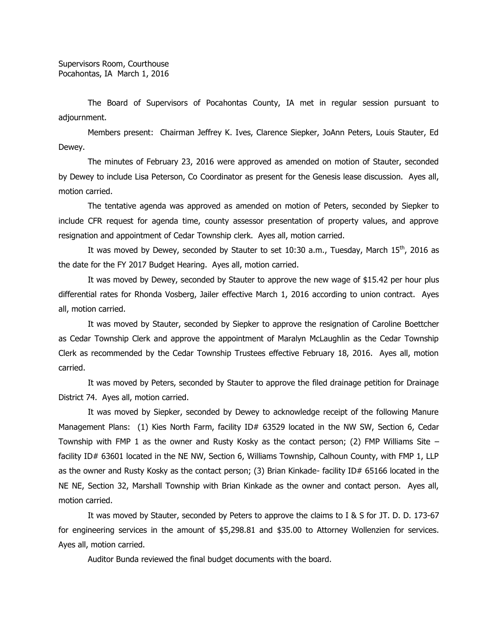The Board of Supervisors of Pocahontas County, IA met in regular session pursuant to adjournment.

Members present: Chairman Jeffrey K. Ives, Clarence Siepker, JoAnn Peters, Louis Stauter, Ed Dewey.

The minutes of February 23, 2016 were approved as amended on motion of Stauter, seconded by Dewey to include Lisa Peterson, Co Coordinator as present for the Genesis lease discussion. Ayes all, motion carried.

The tentative agenda was approved as amended on motion of Peters, seconded by Siepker to include CFR request for agenda time, county assessor presentation of property values, and approve resignation and appointment of Cedar Township clerk. Ayes all, motion carried.

It was moved by Dewey, seconded by Stauter to set 10:30 a.m., Tuesday, March  $15<sup>th</sup>$ , 2016 as the date for the FY 2017 Budget Hearing. Ayes all, motion carried.

It was moved by Dewey, seconded by Stauter to approve the new wage of \$15.42 per hour plus differential rates for Rhonda Vosberg, Jailer effective March 1, 2016 according to union contract. Ayes all, motion carried.

It was moved by Stauter, seconded by Siepker to approve the resignation of Caroline Boettcher as Cedar Township Clerk and approve the appointment of Maralyn McLaughlin as the Cedar Township Clerk as recommended by the Cedar Township Trustees effective February 18, 2016. Ayes all, motion carried.

It was moved by Peters, seconded by Stauter to approve the filed drainage petition for Drainage District 74. Ayes all, motion carried.

It was moved by Siepker, seconded by Dewey to acknowledge receipt of the following Manure Management Plans: (1) Kies North Farm, facility ID# 63529 located in the NW SW, Section 6, Cedar Township with FMP 1 as the owner and Rusty Kosky as the contact person; (2) FMP Williams Site – facility ID# 63601 located in the NE NW, Section 6, Williams Township, Calhoun County, with FMP 1, LLP as the owner and Rusty Kosky as the contact person; (3) Brian Kinkade- facility ID# 65166 located in the NE NE, Section 32, Marshall Township with Brian Kinkade as the owner and contact person. Ayes all, motion carried.

It was moved by Stauter, seconded by Peters to approve the claims to I & S for JT. D. D. 173-67 for engineering services in the amount of \$5,298.81 and \$35.00 to Attorney Wollenzien for services. Ayes all, motion carried.

Auditor Bunda reviewed the final budget documents with the board.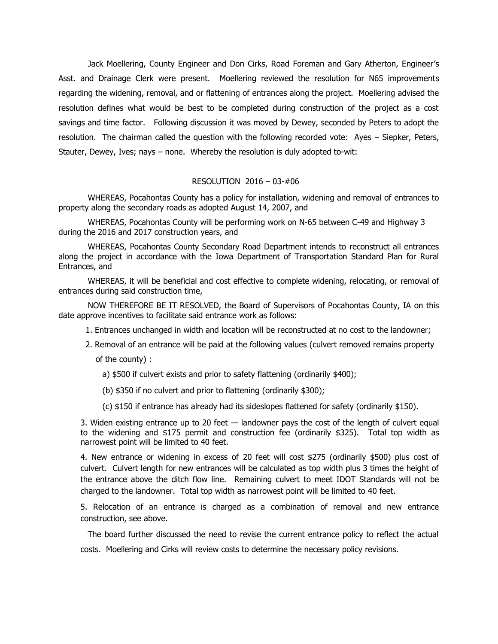Jack Moellering, County Engineer and Don Cirks, Road Foreman and Gary Atherton, Engineer's Asst. and Drainage Clerk were present. Moellering reviewed the resolution for N65 improvements regarding the widening, removal, and or flattening of entrances along the project. Moellering advised the resolution defines what would be best to be completed during construction of the project as a cost savings and time factor. Following discussion it was moved by Dewey, seconded by Peters to adopt the resolution. The chairman called the question with the following recorded vote: Ayes – Siepker, Peters, Stauter, Dewey, Ives; nays – none. Whereby the resolution is duly adopted to-wit:

## RESOLUTION 2016 – 03-#06

WHEREAS, Pocahontas County has a policy for installation, widening and removal of entrances to property along the secondary roads as adopted August 14, 2007, and

WHEREAS, Pocahontas County will be performing work on N-65 between C-49 and Highway 3 during the 2016 and 2017 construction years, and

WHEREAS, Pocahontas County Secondary Road Department intends to reconstruct all entrances along the project in accordance with the Iowa Department of Transportation Standard Plan for Rural Entrances, and

WHEREAS, it will be beneficial and cost effective to complete widening, relocating, or removal of entrances during said construction time,

 NOW THEREFORE BE IT RESOLVED, the Board of Supervisors of Pocahontas County, IA on this date approve incentives to facilitate said entrance work as follows:

- 1. Entrances unchanged in width and location will be reconstructed at no cost to the landowner;
- 2. Removal of an entrance will be paid at the following values (culvert removed remains property of the county) :
	- a) \$500 if culvert exists and prior to safety flattening (ordinarily \$400);
	- (b) \$350 if no culvert and prior to flattening (ordinarily \$300);
	- (c) \$150 if entrance has already had its sideslopes flattened for safety (ordinarily \$150).

3. Widen existing entrance up to 20 feet — landowner pays the cost of the length of culvert equal to the widening and \$175 permit and construction fee (ordinarily \$325). Total top width as narrowest point will be limited to 40 feet.

4. New entrance or widening in excess of 20 feet will cost \$275 (ordinarily \$500) plus cost of culvert. Culvert length for new entrances will be calculated as top width plus 3 times the height of the entrance above the ditch flow line. Remaining culvert to meet IDOT Standards will not be charged to the landowner. Total top width as narrowest point will be limited to 40 feet.

5. Relocation of an entrance is charged as a combination of removal and new entrance construction, see above.

The board further discussed the need to revise the current entrance policy to reflect the actual costs. Moellering and Cirks will review costs to determine the necessary policy revisions.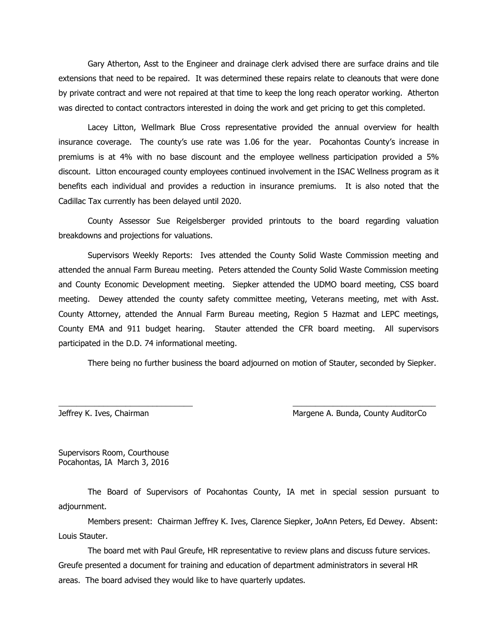Gary Atherton, Asst to the Engineer and drainage clerk advised there are surface drains and tile extensions that need to be repaired. It was determined these repairs relate to cleanouts that were done by private contract and were not repaired at that time to keep the long reach operator working. Atherton was directed to contact contractors interested in doing the work and get pricing to get this completed.

Lacey Litton, Wellmark Blue Cross representative provided the annual overview for health insurance coverage. The county's use rate was 1.06 for the year. Pocahontas County's increase in premiums is at 4% with no base discount and the employee wellness participation provided a 5% discount. Litton encouraged county employees continued involvement in the ISAC Wellness program as it benefits each individual and provides a reduction in insurance premiums. It is also noted that the Cadillac Tax currently has been delayed until 2020.

County Assessor Sue Reigelsberger provided printouts to the board regarding valuation breakdowns and projections for valuations.

Supervisors Weekly Reports: Ives attended the County Solid Waste Commission meeting and attended the annual Farm Bureau meeting. Peters attended the County Solid Waste Commission meeting and County Economic Development meeting. Siepker attended the UDMO board meeting, CSS board meeting. Dewey attended the county safety committee meeting, Veterans meeting, met with Asst. County Attorney, attended the Annual Farm Bureau meeting, Region 5 Hazmat and LEPC meetings, County EMA and 911 budget hearing. Stauter attended the CFR board meeting. All supervisors participated in the D.D. 74 informational meeting.

There being no further business the board adjourned on motion of Stauter, seconded by Siepker.

Jeffrey K. Ives, Chairman Margene A. Bunda, County AuditorCo

Supervisors Room, Courthouse Pocahontas, IA March 3, 2016

The Board of Supervisors of Pocahontas County, IA met in special session pursuant to adjournment.

\_\_\_\_\_\_\_\_\_\_\_\_\_\_\_\_\_\_\_\_\_\_\_\_\_\_\_\_\_\_ \_\_\_\_\_\_\_\_\_\_\_\_\_\_\_\_\_\_\_\_\_\_\_\_\_\_\_\_\_\_\_\_

Members present: Chairman Jeffrey K. Ives, Clarence Siepker, JoAnn Peters, Ed Dewey. Absent: Louis Stauter.

The board met with Paul Greufe, HR representative to review plans and discuss future services. Greufe presented a document for training and education of department administrators in several HR areas. The board advised they would like to have quarterly updates.